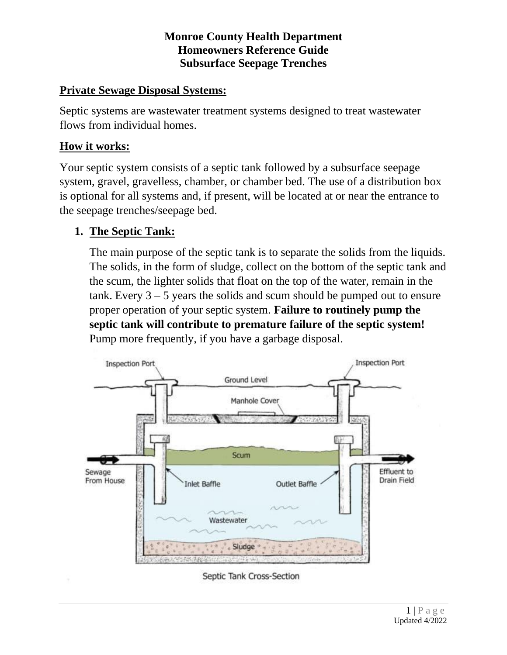### **Private Sewage Disposal Systems:**

Septic systems are wastewater treatment systems designed to treat wastewater flows from individual homes.

## **How it works:**

Your septic system consists of a septic tank followed by a subsurface seepage system, gravel, gravelless, chamber, or chamber bed. The use of a distribution box is optional for all systems and, if present, will be located at or near the entrance to the seepage trenches/seepage bed.

# **1. The Septic Tank:**

The main purpose of the septic tank is to separate the solids from the liquids. The solids, in the form of sludge, collect on the bottom of the septic tank and the scum, the lighter solids that float on the top of the water, remain in the tank. Every  $3 - 5$  years the solids and scum should be pumped out to ensure proper operation of your septic system. **Failure to routinely pump the septic tank will contribute to premature failure of the septic system!**  Pump more frequently, if you have a garbage disposal.

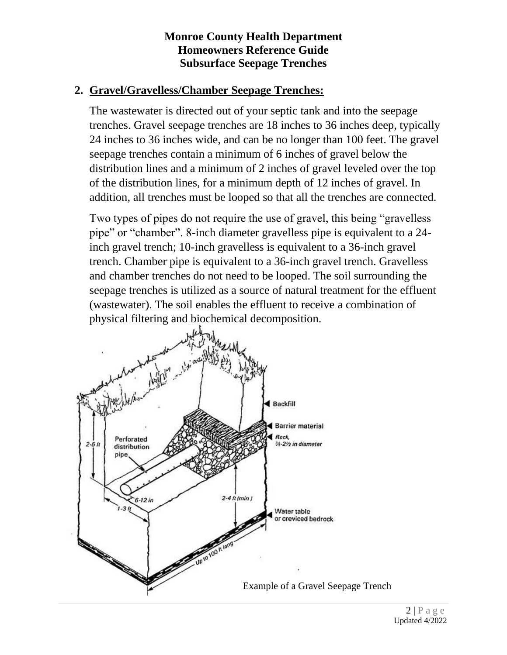## **2. Gravel/Gravelless/Chamber Seepage Trenches:**

The wastewater is directed out of your septic tank and into the seepage trenches. Gravel seepage trenches are 18 inches to 36 inches deep, typically 24 inches to 36 inches wide, and can be no longer than 100 feet. The gravel seepage trenches contain a minimum of 6 inches of gravel below the distribution lines and a minimum of 2 inches of gravel leveled over the top of the distribution lines, for a minimum depth of 12 inches of gravel. In addition, all trenches must be looped so that all the trenches are connected.

Two types of pipes do not require the use of gravel, this being "gravelless pipe" or "chamber". 8-inch diameter gravelless pipe is equivalent to a 24 inch gravel trench; 10-inch gravelless is equivalent to a 36-inch gravel trench. Chamber pipe is equivalent to a 36-inch gravel trench. Gravelless and chamber trenches do not need to be looped. The soil surrounding the seepage trenches is utilized as a source of natural treatment for the effluent (wastewater). The soil enables the effluent to receive a combination of physical filtering and biochemical decomposition.

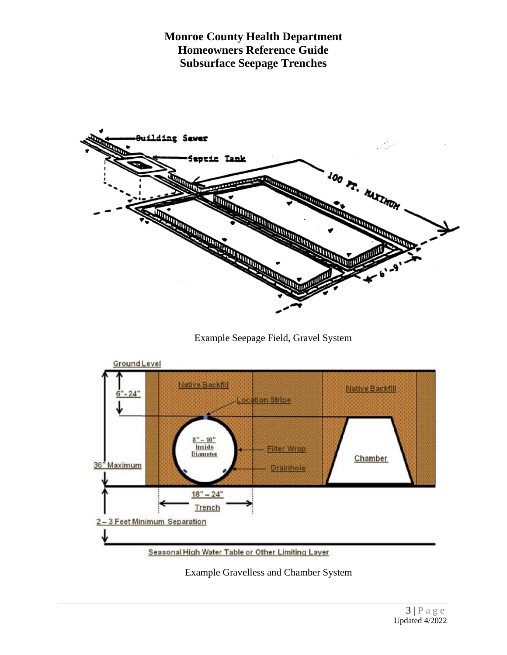

Example Seepage Field, Gravel System



Example Gravelless and Chamber System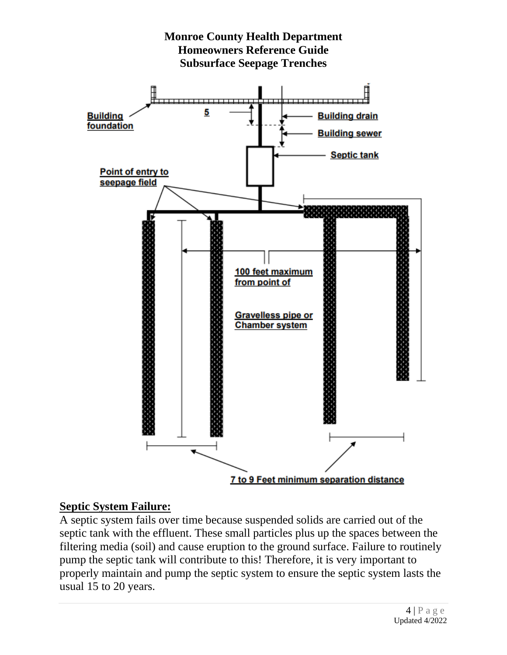

#### **Septic System Failure:**

A septic system fails over time because suspended solids are carried out of the septic tank with the effluent. These small particles plus up the spaces between the filtering media (soil) and cause eruption to the ground surface. Failure to routinely pump the septic tank will contribute to this! Therefore, it is very important to properly maintain and pump the septic system to ensure the septic system lasts the usual 15 to 20 years.